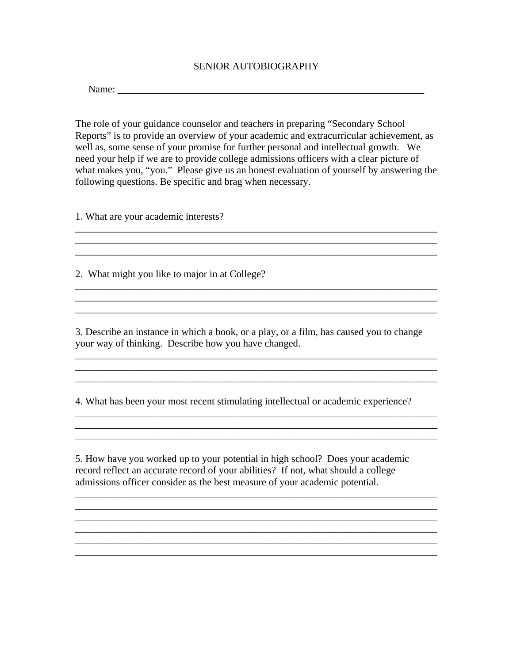## SENIOR AUTOBIOGRAPHY

Name: \_\_\_\_\_\_\_\_\_\_\_\_\_\_\_\_\_\_\_\_\_\_\_\_\_\_\_\_\_\_\_\_\_\_\_\_\_\_\_\_\_\_\_\_\_\_\_\_\_\_\_\_\_\_\_\_\_\_\_\_\_

The role of your guidance counselor and teachers in preparing "Secondary School Reports" is to provide an overview of your academic and extracurricular achievement, as well as, some sense of your promise for further personal and intellectual growth. We need your help if we are to provide college admissions officers with a clear picture of what makes you, "you." Please give us an honest evaluation of yourself by answering the following questions. Be specific and brag when necessary.

\_\_\_\_\_\_\_\_\_\_\_\_\_\_\_\_\_\_\_\_\_\_\_\_\_\_\_\_\_\_\_\_\_\_\_\_\_\_\_\_\_\_\_\_\_\_\_\_\_\_\_\_\_\_\_\_\_\_\_\_\_\_\_\_\_\_\_\_\_\_\_\_ \_\_\_\_\_\_\_\_\_\_\_\_\_\_\_\_\_\_\_\_\_\_\_\_\_\_\_\_\_\_\_\_\_\_\_\_\_\_\_\_\_\_\_\_\_\_\_\_\_\_\_\_\_\_\_\_\_\_\_\_\_\_\_\_\_\_\_\_\_\_\_\_

1. What are your academic interests?

2. What might you like to major in at College?

3. Describe an instance in which a book, or a play, or a film, has caused you to change your way of thinking. Describe how you have changed.

\_\_\_\_\_\_\_\_\_\_\_\_\_\_\_\_\_\_\_\_\_\_\_\_\_\_\_\_\_\_\_\_\_\_\_\_\_\_\_\_\_\_\_\_\_\_\_\_\_\_\_\_\_\_\_\_\_\_\_\_\_\_\_\_\_\_\_\_\_\_\_\_

\_\_\_\_\_\_\_\_\_\_\_\_\_\_\_\_\_\_\_\_\_\_\_\_\_\_\_\_\_\_\_\_\_\_\_\_\_\_\_\_\_\_\_\_\_\_\_\_\_\_\_\_\_\_\_\_\_\_\_\_\_\_\_\_\_\_\_\_\_\_\_\_

 $\overline{\phantom{a}}$  , and the contribution of the contribution of the contribution of the contribution of the contribution of the contribution of the contribution of the contribution of the contribution of the contribution of the  $\mathcal{L}_\text{max}$  , and the set of the set of the set of the set of the set of the set of the set of the set of the set of the set of the set of the set of the set of the set of the set of the set of the set of the set of the \_\_\_\_\_\_\_\_\_\_\_\_\_\_\_\_\_\_\_\_\_\_\_\_\_\_\_\_\_\_\_\_\_\_\_\_\_\_\_\_\_\_\_\_\_\_\_\_\_\_\_\_\_\_\_\_\_\_\_\_\_\_\_\_\_\_\_\_\_\_\_\_

4. What has been your most recent stimulating intellectual or academic experience?

 $\overline{\phantom{a}}$  , and the contribution of the contribution of the contribution of the contribution of the contribution of the contribution of the contribution of the contribution of the contribution of the contribution of the \_\_\_\_\_\_\_\_\_\_\_\_\_\_\_\_\_\_\_\_\_\_\_\_\_\_\_\_\_\_\_\_\_\_\_\_\_\_\_\_\_\_\_\_\_\_\_\_\_\_\_\_\_\_\_\_\_\_\_\_\_\_\_\_\_\_\_\_\_\_\_\_

5. How have you worked up to your potential in high school? Does your academic record reflect an accurate record of your abilities? If not, what should a college admissions officer consider as the best measure of your academic potential.

\_\_\_\_\_\_\_\_\_\_\_\_\_\_\_\_\_\_\_\_\_\_\_\_\_\_\_\_\_\_\_\_\_\_\_\_\_\_\_\_\_\_\_\_\_\_\_\_\_\_\_\_\_\_\_\_\_\_\_\_\_\_\_\_\_\_\_\_\_\_\_\_ \_\_\_\_\_\_\_\_\_\_\_\_\_\_\_\_\_\_\_\_\_\_\_\_\_\_\_\_\_\_\_\_\_\_\_\_\_\_\_\_\_\_\_\_\_\_\_\_\_\_\_\_\_\_\_\_\_\_\_\_\_\_\_\_\_\_\_\_\_\_\_\_

\_\_\_\_\_\_\_\_\_\_\_\_\_\_\_\_\_\_\_\_\_\_\_\_\_\_\_\_\_\_\_\_\_\_\_\_\_\_\_\_\_\_\_\_\_\_\_\_\_\_\_\_\_\_\_\_\_\_\_\_\_\_\_\_\_\_\_\_\_\_\_\_ \_\_\_\_\_\_\_\_\_\_\_\_\_\_\_\_\_\_\_\_\_\_\_\_\_\_\_\_\_\_\_\_\_\_\_\_\_\_\_\_\_\_\_\_\_\_\_\_\_\_\_\_\_\_\_\_\_\_\_\_\_\_\_\_\_\_\_\_\_\_\_\_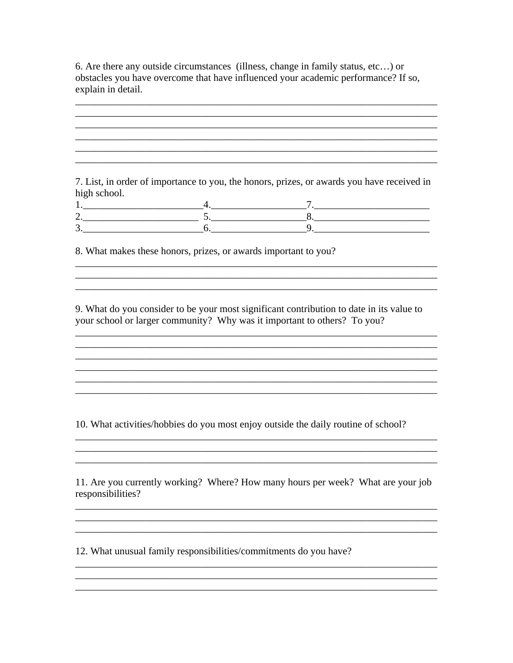6. Are there any outside circumstances (illness, change in family status, etc...) or obstacles you have overcome that have influenced your academic performance? If so, explain in detail.

7. List, in order of importance to you, the honors, prizes, or awards you have received in high school.

8. What makes these honors, prizes, or awards important to you?

9. What do you consider to be your most significant contribution to date in its value to your school or larger community? Why was it important to others? To you?

<u> 1989 - Johann Stoff, deutscher Stoff, der Stoff, der Stoff, der Stoff, der Stoff, der Stoff, der Stoff, der S</u>

<u> 1989 - Johann Stoff, amerikansk politiker (\* 1908)</u>

<u> 1989 - Johann Stoff, deutscher Stoff, der Stoff, der Stoff, der Stoff, der Stoff, der Stoff, der Stoff, der S</u>

<u> 1980 - Johann Barn, mars an t-Amerikaansk politiker (\* 1908)</u>

10. What activities/hobbies do you most enjoy outside the daily routine of school?

11. Are you currently working? Where? How many hours per week? What are your job responsibilities?

<u> 1989 - Andrea Santa Andrea Santa Andrea Santa Andrea Santa Andrea Santa Andrea Santa Andrea Santa Andrea San</u>

<u> 1989 - Johann Stoff, amerikansk politik (d. 1989)</u>

12. What unusual family responsibilities/commitments do you have?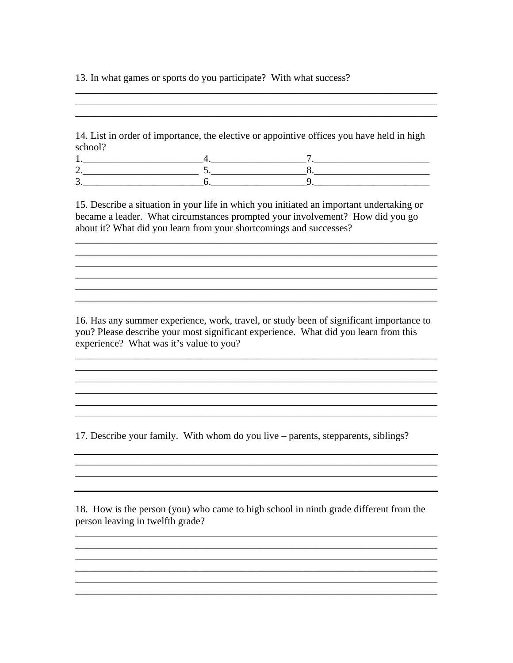13. In what games or sports do you participate? With what success?

14. List in order of importance, the elective or appointive offices you have held in high school?

15. Describe a situation in your life in which you initiated an important undertaking or became a leader. What circumstances prompted your involvement? How did you go about it? What did you learn from your shortcomings and successes?

<u> 1989 - Johann Barn, fransk politik (f. 1989)</u> <u> 1989 - Johann Stoff, amerikansk politiker († 1908)</u>

16. Has any summer experience, work, travel, or study been of significant importance to you? Please describe your most significant experience. What did you learn from this experience? What was it's value to you?

17. Describe your family. With whom do you live – parents, stepparents, siblings?

18. How is the person (you) who came to high school in ninth grade different from the person leaving in twelfth grade?

<u> 1989 - Johann John Stone, markin sanat masjid ayyı bir alan bir alan bir alan bir alan bir alan bir alan bir</u>

<u> 1989 - Johann Barn, mars an t-Amerikaansk politiker (\* 1958)</u>

<u> 1989 - Johann Barbara, martxa alemaniar argametar (h. 1989).</u>